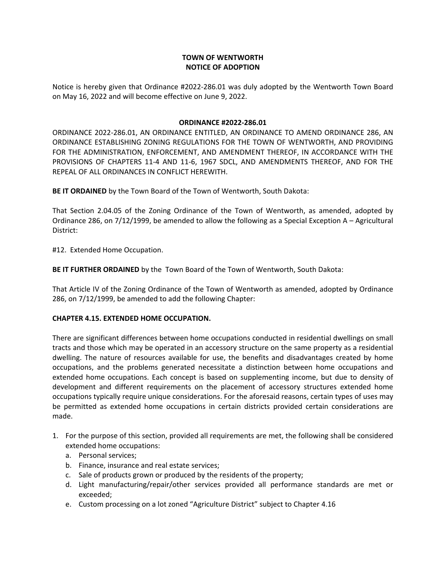# **TOWN OF WENTWORTH NOTICE OF ADOPTION**

Notice is hereby given that Ordinance #2022‐286.01 was duly adopted by the Wentworth Town Board on May 16, 2022 and will become effective on June 9, 2022.

### **ORDINANCE #2022‐286.01**

ORDINANCE 2022‐286.01, AN ORDINANCE ENTITLED, AN ORDINANCE TO AMEND ORDINANCE 286, AN ORDINANCE ESTABLISHING ZONING REGULATIONS FOR THE TOWN OF WENTWORTH, AND PROVIDING FOR THE ADMINISTRATION, ENFORCEMENT, AND AMENDMENT THEREOF, IN ACCORDANCE WITH THE PROVISIONS OF CHAPTERS 11‐4 AND 11‐6, 1967 SDCL, AND AMENDMENTS THEREOF, AND FOR THE REPEAL OF ALL ORDINANCES IN CONFLICT HEREWITH.

**BE IT ORDAINED** by the Town Board of the Town of Wentworth, South Dakota:

That Section 2.04.05 of the Zoning Ordinance of the Town of Wentworth, as amended, adopted by Ordinance 286, on 7/12/1999, be amended to allow the following as a Special Exception A – Agricultural District:

#12. Extended Home Occupation.

**BE IT FURTHER ORDAINED** by the Town Board of the Town of Wentworth, South Dakota:

That Article IV of the Zoning Ordinance of the Town of Wentworth as amended, adopted by Ordinance 286, on 7/12/1999, be amended to add the following Chapter:

## **CHAPTER 4.15. EXTENDED HOME OCCUPATION.**

There are significant differences between home occupations conducted in residential dwellings on small tracts and those which may be operated in an accessory structure on the same property as a residential dwelling. The nature of resources available for use, the benefits and disadvantages created by home occupations, and the problems generated necessitate a distinction between home occupations and extended home occupations. Each concept is based on supplementing income, but due to density of development and different requirements on the placement of accessory structures extended home occupations typically require unique considerations. For the aforesaid reasons, certain types of uses may be permitted as extended home occupations in certain districts provided certain considerations are made.

- 1. For the purpose of this section, provided all requirements are met, the following shall be considered extended home occupations:
	- a. Personal services;
	- b. Finance, insurance and real estate services;
	- c. Sale of products grown or produced by the residents of the property;
	- d. Light manufacturing/repair/other services provided all performance standards are met or exceeded;
	- e. Custom processing on a lot zoned "Agriculture District" subject to Chapter 4.16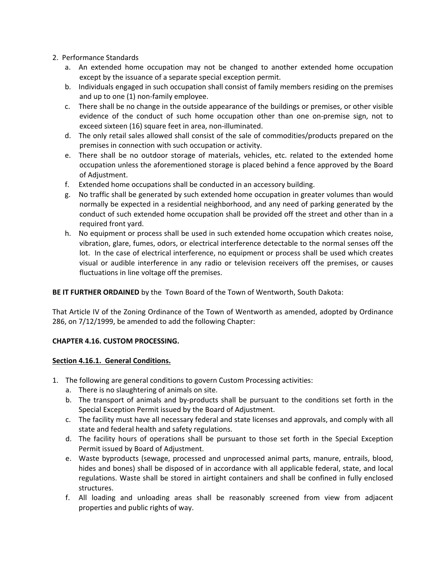- 2. Performance Standards
	- a. An extended home occupation may not be changed to another extended home occupation except by the issuance of a separate special exception permit.
	- b. Individuals engaged in such occupation shall consist of family members residing on the premises and up to one (1) non-family employee.
	- c. There shall be no change in the outside appearance of the buildings or premises, or other visible evidence of the conduct of such home occupation other than one on-premise sign, not to exceed sixteen (16) square feet in area, non‐illuminated.
	- d. The only retail sales allowed shall consist of the sale of commodities/products prepared on the premises in connection with such occupation or activity.
	- e. There shall be no outdoor storage of materials, vehicles, etc. related to the extended home occupation unless the aforementioned storage is placed behind a fence approved by the Board of Adjustment.
	- f. Extended home occupations shall be conducted in an accessory building.
	- g. No traffic shall be generated by such extended home occupation in greater volumes than would normally be expected in a residential neighborhood, and any need of parking generated by the conduct of such extended home occupation shall be provided off the street and other than in a required front yard.
	- h. No equipment or process shall be used in such extended home occupation which creates noise, vibration, glare, fumes, odors, or electrical interference detectable to the normal senses off the lot. In the case of electrical interference, no equipment or process shall be used which creates visual or audible interference in any radio or television receivers off the premises, or causes fluctuations in line voltage off the premises.

**BE IT FURTHER ORDAINED** by the Town Board of the Town of Wentworth, South Dakota:

That Article IV of the Zoning Ordinance of the Town of Wentworth as amended, adopted by Ordinance 286, on 7/12/1999, be amended to add the following Chapter:

## **CHAPTER 4.16. CUSTOM PROCESSING.**

## **Section 4.16.1. General Conditions.**

- 1. The following are general conditions to govern Custom Processing activities:
	- a. There is no slaughtering of animals on site.
	- b. The transport of animals and by-products shall be pursuant to the conditions set forth in the Special Exception Permit issued by the Board of Adjustment.
	- c. The facility must have all necessary federal and state licenses and approvals, and comply with all state and federal health and safety regulations.
	- d. The facility hours of operations shall be pursuant to those set forth in the Special Exception Permit issued by Board of Adjustment.
	- e. Waste byproducts (sewage, processed and unprocessed animal parts, manure, entrails, blood, hides and bones) shall be disposed of in accordance with all applicable federal, state, and local regulations. Waste shall be stored in airtight containers and shall be confined in fully enclosed structures.
	- f. All loading and unloading areas shall be reasonably screened from view from adjacent properties and public rights of way.